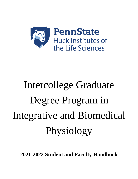

# Intercollege Graduate Degree Program in Integrative and Biomedical Physiology

**2021-2022 Student and Faculty Handbook**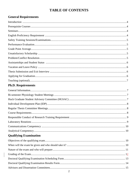# **TABLE OF CONTENTS**

# **General Requirements**

# **Ph.D. Requirements**

# **Qualifying Examination**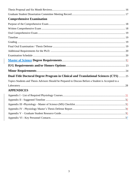| <b>Comprehensive Examination</b>                                                                    |  |
|-----------------------------------------------------------------------------------------------------|--|
|                                                                                                     |  |
|                                                                                                     |  |
|                                                                                                     |  |
|                                                                                                     |  |
|                                                                                                     |  |
|                                                                                                     |  |
|                                                                                                     |  |
|                                                                                                     |  |
|                                                                                                     |  |
|                                                                                                     |  |
|                                                                                                     |  |
| Dual-Title Doctoral Degree Program in Clinical and Translational Sciences (CTS)  25                 |  |
| Topics Students and Thesis Advisors Should be Prepared to Discuss Before a Student is Accepted to a |  |
|                                                                                                     |  |
| <b>APPENDICES</b>                                                                                   |  |
|                                                                                                     |  |
|                                                                                                     |  |
|                                                                                                     |  |
|                                                                                                     |  |
|                                                                                                     |  |
|                                                                                                     |  |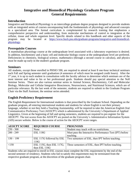# **Integrative and Biomedical Physiology Graduate Program General Requirements**

# **Introduction**

Integrative and Biomedical Physiology is an intercollege graduate degree program designed to provide students with an integrated series of courses encompassing both the fundamentals of physiology and advanced concepts in a specialized area. The formal curriculum is complemented by research training that emphasizes a comprehensive perspective and understanding, from molecular mechanisms of control to integration at the cellular, tissue and whole organism level. Specific details related to this handbook and other aspects of the program may be located at [https://www.huck.psu.edu/graduate-programs/integrative-and-biomedical](https://www.huck.psu.edu/graduate-programs/integrative-and-biomedical-physiology)[physiology.](https://www.huck.psu.edu/graduate-programs/integrative-and-biomedical-physiology)

#### **Prerequisite Courses**

A mammalian physiology course at the undergraduate level associated with a laboratory experience is desired. In addition, biochemistry and a basic cell and molecular biology course at the undergraduate level are preferred. Deficiencies in chemistry, biological science, mathematics (through a second course in calculus), and physics must be made up early in the student's graduate program.

## **Seminars**

All students, except those enrolled in PHSIO 590, are required to attend at least 8 one-hour technical seminars each Fall and Spring semester until graduation (4 semesters of which must be assigned credit hours). After the 1<sup>st</sup> year, it is up to each student in consultation with the faculty advisor to determine which seminars are of the most interest and value to his or her professional goals. Students should pay special attention to the Noll Seminar Series. There are also various seminar series in Animal Science, Biochemistry, Cell and Molecular Biology, Molecular and Cellular Integrative Biosciences, Neuroscience, and Nutritional Sciences, which are of particular relevance. By the last week of the semester, students are required to submit to the Graduate Program Chair via the Staff Assistant, the seminar series attended.

# **English Proficiency Requirement**

The English Requirement for International students is that prescribed by the Graduate School. Depending on the graduate program, all entering international students and students for whom English is not their primary language, whether or not they hold a Teaching Assistantship, will be required to take the American English Oral Communicative Proficiency Test (AEOCPT) which is administered by the University's Department of Applied Linguistics. Given at the beginning of fall and spring semesters, students are required to pre-register for the AEOCPT. The test scores from the AEOCPT are posted on the University's Administrative Information System (AIS) secure website. Below is the course of action for the AEOCPT score ranges.

| <b>AEOCPT SCORE</b> | <b>REQUIRED COURSE</b>   | <b>PROGNOSIS</b>                                        |
|---------------------|--------------------------|---------------------------------------------------------|
| $250 - 300$         | None                     | Student may teach with no restrictions.                 |
| $200 - 249$         | <b>ESL 118G</b>          | Must pass the Interactive Performance Test (IPT) before |
|                     |                          | teaching.                                               |
| $150 - 199$         | ESL 117G followed by ESL | Two semesters of ESL, then IPT before teaching.         |
|                     | 118G                     |                                                         |
| < 150               | ESL 115G, then ESL 117G, | Three semesters of ESL, then IPT before teaching.       |
|                     | then ESL 118G            |                                                         |

Students who are required to enroll in ESL courses must complete the ESL requirement by the end of the second semester of residency. Students who fail to satisfy this requirement may be terminated from the respective graduate program, at the discretion of the graduate program chair.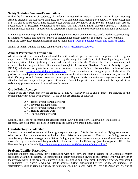## **Safety Training Sessions/Examinations**

Within the first semester of residence, all students are required to take/pass chemical waste disposal training sessions offered at the respective campuses, as well as complete SARI training (see below). With the exception of SARI and as noted below, these sessions occur during Fall Orientation of the 1st year. Students must present documentation of successful completion to the Staff Assistant (Ashley Smith, ajs6938@psu.edu). Animal or human subjects training will occur during selected rotations and is under the direction of individual supervisors.

Chemical safety trainings will be completed during the Fall Huck Orientation session(s). Radioisotope training is laboratory specific, and at the discretion of individual laboratory directors as needed. All environmental health and safety issue related guidelines can be found at [https://ehs.psu.edu/laboratory-and-research-safety.](https://ehs.psu.edu/laboratory-and-research-safety)

Animal or human training modules can be found at [www.research.psu.edu/orp.](http://www.research.psu.edu/orp)

#### **Annual Performance Evaluation**

All students will be continually evaluated for both academic performance and compliance with program requirements. The evaluations will be performed by the Integrative and Biomedical Physiology Program Chair until completion of the Qualifying Exam, and then afterwards by the Chair of the Thesis Committee, but reviewed by the Program Chair. Students will complete the **Annual Graduate Student Activity Report** (GSAR), which will originate from the Huck Institutes Graduate Office to be completed in June of each academic year [\(https://grad-activity.science.psu.edu/](https://grad-activity.science.psu.edu/)**)**. These evaluations are integral parts of the student's professional development and provide a formal mechanism for students and their advisors to broadly review the student's progress and discuss current and future goals. Regular thesis committee meetings are also required after the first year (expected 2 per year). Continued financial support of each student will be dependent on satisfactory progress as stated in admission offer letters.

#### **Grade Point Average**

Credit hours are earned only for the grades A, B, and C. However, all A and F grades are included in the computation of the grade point average. Grade points are assigned as follows:

- $A = 4$  (above average graduate work)
- $B = 3$  (average graduate work)
- $C = 2$  (below average graduate work)
- $D = 1$  (failing graduate work)
- $F = 0$  (failing graduate work)

Grades D and F are not acceptable for graduate credit. Only one grade of C is allowable. If a course is repeated, then both grades are used in computing the cumulative grade point average.

# **Unsatisfactory Scholarship**

Students are required to have a minimum grade-point average of 3.0 for the doctoral qualifying examination, admission to the comprehensive examination, thesis defense, and graduation. One or more failing grades, a cumulative grade-point average below 3.0, or failing any of the examinations may be considered evidence of unsatisfactory scholarship and be grounds for dismissal from the University (see the Appendix III of the Graduate Programs Bulletin [\(http://undergrad.psu.edu/aappm/G-9-academic-integrity.html\)](http://undergrad.psu.edu/aappm/G-9-academic-integrity.html).

# **Problem/Conflict Resolution**

Graduate students occasionally have difficulties with their advisors, their programs or an academic matter associated with their programs. The first step in problem resolution is always to talk directly with your advisor or the involved party. If the problem is unresolved, the Integrative and Biomedical Physiology program chair should be contacted (Dr. Korzick), who will act to arbitrate further discussions between faculty and students. If satisfactory resolution remains elusive, the next step would be to work with Dr. Troy Ott, Associate Director of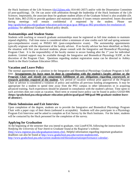the Huck Institutes of the Life Sciences [\(tlo12@psu.edu;](mailto:tlo12@psu.edu) 814-441-2657) and/or with the Dissertation Committee (if post-qualifying). Dr. Ott can assist with arbitration through the leadership of the Huck Institutes of the Life Sciences. Importantly, the associate dean for graduate student affairs of the Graduate School is also available (Dr. Sarah Ades, 865-2516) to provide guidance and maintain neutrality if issues remain unresolved. Issues discussed during meetings will remain confidential if requested by the student. Please see http://gradschool.psu.edu/graduate-education-policies/gcac/gcac-800/gcac-802-procedures-for-resolution-ofproblems/ for additional Graduate School policy details.

### **Assistantships and Student Status**

Students with teaching or research graduate assistantships must be registered as full time students to maintain stipend eligibility. Full time status is considered either a minimum of nine credits each fall and spring semester (pre-comprehensive exam) or PHSIO 601 (post-comprehensive exam). The assistantship appointments typically originate with the department of the faculty advisor. If no faculty advisor has been identified, as likely the situation with first year doctoral students, please consult with the Integrative and Biomedical Physiology Program Chair. It is the responsibility of the faculty mentor to secure funding after the 1<sup>st</sup> year for individual students. Limited support may be available through the Integrative and Biomedical Physiology IGDP, at the discretion of the Program Chair. Questions regarding student registration status can be directed to Ashley Smith in the Huck Graduate Education Office.

## **Vacation and Leave Policy**

The normal appointment to a position in the Integrative and Biomedical Physiology Graduate Program is fulltime. **Arrangements for leave must be done in consultation with the student's faculty advisor or the Program Chair and should not compromise fulfillment of any obligations regarding coursework or research activities required of the student.** Any period of vacation without prior approval of the Program Chair or advisor is considered a violation of policy and nullifies all previous funding arrangements. It may be appropriate for a student to spend time away from the PSU campus in other laboratories or in acquiring advanced training. Such experiences should be planned in consultation with the student's advisor. Time spent in such activities does not count as vacation. Short term or extend leave policy can be found in policy GSAD-906 (**[https://gradschool.psu.edu/graduate-education-policies/gsad/gsad-900/gsad-906-graduate-student-leave](https://gradschool.psu.edu/graduate-education-policies/gsad/gsad-900/gsad-906-graduate-student-leave-of-absence/)[of-absence/](https://gradschool.psu.edu/graduate-education-policies/gsad/gsad-900/gsad-906-graduate-student-leave-of-absence/)**).

#### **Thesis Submission and Exit Interview**

Upon completion of the degree, students are to provide the Integrative and Biomedical Physiology Program Chair with a paper copy of their thesis (unbound is acceptable). Students will also participate in a Physiology Program Exit Interview and be asked to complete an Exit Survey by the Huck Institutes. For the latter, students will be contacted by the Huck personnel for the completion of the survey.

# **Applying for Graduation**

At the beginning of the semester that you intend to graduate, visit LionPATH, following the instructions for *Notifying the University of Your Intent to Graduate* found at the Registrar's website: [\(http://www.registrar.psu.edu/graduation/intent.cfm\)](http://www.registrar.psu.edu/graduation/intent.cfm). Helpful information regarding important graduation deadlines can also be found at<http://www.gradschool.psu.edu/current-students/etd/>**,** [http://www.gradschool.psu.edu/current-students/etd/thesisdissertationperformance-calendar/.](http://www.gradschool.psu.edu/current-students/etd/thesisdissertationperformance-calendar/)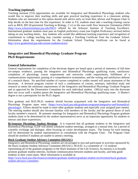# **Teaching (optional)**

Teaching assistant (TA) opportunities are available for Integrative and Biomedical Physiology students who would like to improve their teaching skills and gain practical teaching experience in a classroom setting. Students who are interested in this option should seek advice early on from their advisor and Program Chair to help decide on the best time for this experience. In order to TA, students must take a teaching training course such as BIOL 893 (Experiential Teaching in Biology, 2 cr) or the non-credit New Instructor Orientation (NIO) [\(http://www.schreyerinstitute.psu.edu/NIO/\)](http://www.schreyerinstitute.psu.edu/NIO/) offered by the Schreyer Institute of Teaching Excellence. International graduate students must pass an English proficiency exam (see English Proficiency section) before taking on any teaching duties. Any students who would like additional teaching experience and recognition of commitment to college teaching may consider earning a Teaching Certificate from the Graduate School. Information about the requirements for the Graduate School Teaching Certificate can be found at [http://www.gradschool.psu.edu/current-students/tacert/.](http://www.gradschool.psu.edu/current-students/tacert/)

# **Integrative and Biomedical Physiology Graduate Program Ph.D Requirements**

#### **General Information**

General requirements for completion of the doctorate degree are based upon a period of semesters of full-time on-campus residence, passing the Integrative and Biomedical Physiology qualifying exam, satisfactory completion of physiology course requirements and university credit requirements, fulfillment of a communications requirement, passing of a comprehensive examination, and the writing and satisfactory defense of a research thesis. No specified number of courses completed or credits earned will assure attainment of the doctorate. A doctoral program consists of such a combination of courses, seminars, individual study and research as meets the minimum requirements of the Integrative and Biomedical Physiology Graduate Program and as approved by the Dissertation Committee for each individual student. Official entry into the doctorate does not occur until a student passes the Integrative and Biomedical Physiology qualifying exam. A Master's degree is not a prerequisite for the Ph.D. degree.

New graduate and M.D./Ph.D. students should become acquainted with the Integrative and Biomedical Physiology Program upon entry [\(https://www.huck.psu.edu/graduate-programs/integrative-and-biomedical](https://www.huck.psu.edu/graduate-programs/integrative-and-biomedical-physiology)[physiology\)](https://www.huck.psu.edu/graduate-programs/integrative-and-biomedical-physiology). Efforts should be made to meet other graduate students and especially your assigned peer mentor. The entering student should also become familiar with members of the faculty and the general thrust of each faculty member's research. Bi semester meetings for Integrative and Biomedical Physiology Program graduate students (time to be determined by the student representative) serve as an important opportunity for students to interact and share experiences.

**Bi-Semester Physiology Student Meetings**: It is expected that all graduate students in the Integrative and Biomedical Physiology IGDP will attend scheduled student meetings, arranged at a mutual time, for a period of scientific exchange and dialogue, often focusing on career development issues. The format for each meeting will be determined by student representatives in consultation with the Program Chair. The Program Chair should be notified if students are unable to attend a meeting.

#### **Huck Graduate Student Advisory Committee (HGSAC)**

Integrative and Biomedical Physiology students are encouraged to join and participate in activities sponsored by the Huck Graduate Student Advisory Committee (HGSAC). HGSAC is a committee of ~15 students representing all of the graduate programs in the Huck Institutes of the Life Sciences. Its mission is to broadly promote graduate student interests, facilitate communication between students and faculty, and help guide students in their career plans. More information is available at:

[https://www.huck.psu.edu/resources/students/graduate-students/graduate-student-involvement/huck-graduate](https://www.huck.psu.edu/resources/students/graduate-students/graduate-student-involvement/huck-graduate-student-advisory-committee)[student-advisory-committee.](https://www.huck.psu.edu/resources/students/graduate-students/graduate-student-involvement/huck-graduate-student-advisory-committee)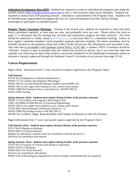**Individual Development Plan (IDP)**: Students are required to create an individual development plan using the myIDP website [\(http://myidp.sciencecareers.org\)](http://myidp.sciencecareers.org/) in year 2, with revisions made yearly thereafter. Students are required to attend yearly IDP planning sessions. Attendance is documented to the Program Chair*.* Students will be afforded many opportunities throughout the year for career development activities and are strongly encouraged to participate as schedules permit.

**Regular Thesis Committee Meetings:** Starting in the second year, students are expected to meet with their thesis committees regularly, at least once per year, and preferably twice per year. Please utilize the form on page 17 to document that the meeting has occurred and satisfactory progress has been achieved. The form should be submitted to Ashley Smith [\(ajs6938@psu.edu\)](mailto:ajs6938@psu.edu) each time there is a committee meeting. Failure to have regular committee members could jeopardize graduate education funding. The thesis committee must be formally declared to the graduate school and Ashley Smith will process this information once provided to her. Also note that in accordance with Graduate School Policy GCAC-602, a student's Ph.D. Committee should be 'officially' formed as soon as possible after the student has secured an adviser, but in no event later than one calendar year following the date of the student's successful completion of the Qualifying Examination unless an alternative timing is approved through the Graduate Council's curricular review process (see page 15-16).

# **Course Requirements**

**Year 1** *(Note: Deviations from 1<sup>st</sup> year coursework requires approval by the Program Chair)* 

#### *Fall Semester*

NUTR 501 (4) Regulation of Nutrient Metabolism I PHSIO 571 (3) Cellular and Integrative Physiology I PHSIO 596 (2) Cell and Molecular Biology (students attend BMB 251) PHSIO 596 (1) two, eight-week rotations or one, sixteen-week rotation KINES 590B Noll Seminar Series or equivalent (i.e. MCIBS 590) (1) Online SARI Training

*Spring Semester (Note: Students must register during October of the previous semester)* PHSIO 572 (4) Cellular and Integrative Physiology II ((3) VBSC 432/BMB 432/MICRB 432 (3) Advanced Immunology PHSIO 596 (1) two, eight-week rotations or one, sixteen-week rotation NUTR 508 Critical Readings in Molecular Nutrition (1.5) KINES 590B Noll Seminar Series or MCIBS 590 (1) MCIBS 591 (2) Ethics, Rigor, Reproducibility and Conduct of Research in the Life Sciences

**Year 2** (*Deviations from 1st year coursework requires approval by the Program Chair)*

*Fall Semester (Note: Students must register during February of the previous semester)* STAT 501(3) Regression Methods PHSIO 600 (3-5) Thesis Research Register for and attend a seminar series (in consultation with the advisor) (1) Electives (in consultation with mentor)

*Spring Semester (Note: Students must register during October of the previous semester)* STAT 502 (3) Analysis of Variance and Design or equivalent PHSIO 590 (1) Colloquium PHSIO 600 (1-6) Thesis Research Electives (in consultation with mentor) PHSIO 510 (3) Physiological Adaptations to Stress (*strongly recommended but not required)*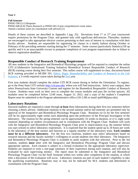**Year 3**

*Fall Semester*  PHSIO 590 (1) Colloquium PHSIO 600 (6-8) Thesis Research or PHSIO 601 if post comprehensive exam status Attend a seminar series (in consultation with advisor) (1)

Details of these courses are described in Appendix I (pg. 25). Deviations from  $1<sup>st</sup>$  or  $2<sup>nd</sup>$  year coursework require permission by the Program Chair, and granted only with significant deficiencies. Thereafter, students are encouraged to take appropriate elective courses pertaining to their area of interest in consultation with their faculty advisor. Students are responsible for registering for classes in a timely fashion during October or February of the preceding semester starting during the 1<sup>st</sup> semester. Some courses (particularly Statistics) fill up quickly and it is an unacceptable excuse to postpone completion of core program requirements due to failure to observe registration deadlines.

# **Responsible Conduct of Research Training Requirement**

All new students in the Integrative and Biomedical Physiology program will be required to complete the online CITI (Collaborative Institutional Training Initiative) Biomedical Science Responsible Conduct of Research (RCR) training course during their first semester. This online course will supplement in-class, discussion-based RCR training provided in MCIBS 591, Ethics, Rigor, Reproducibility and Conduct of Research in the Life Sciences, a 2-credit required course taken during the first year.

First year students should complete the online CITI RCR course during or before the Orientation. To register, go to the Penn State CITI website<http://citi.psu.edu/> where you will find instructions. Select your campus, then select Pennsylvania State University Courses and register for the Biomedical Responsible Conduct of Research Course. Students must work on their own to complete the course modules and pass the on-line quizzes. All modules must be completed before 12:00 noon, August 31, 2021, and a copy of the student's Completion Report must be submitted to the Program administrative office (101 LSB or email ajs6938@psu.edu).

# **Laboratory Rotations**

Doctoral students are required to rotate through **at least** three laboratories during their first two semesters before choosing a thesis advisor. Additional rotations in the second summer and/or fall semester are permitted only by approval of the Integrative and Biomedical Physiology Program Chair. Rotations (n=2) for the first semester will be for approximately eight weeks each depending upon the preference of the Principal Investigator of the laboratory. The rotation for the spring semester can be approximately 16 weeks in duration, or n=2, eight week rotations depending on student circumstances and in consultation with the Program Chair. Students will work with the Integrative and Biomedical Physiology Program Chair prior to matriculation (e.g. the summer before you start school) to select laboratory experiences. It is expected that the student spend up to 20 hours per week in the laboratory of the host mentor and function as a regular member of the laboratory team. **Each rotation must be in a different laboratory**. For the first two rotations, students may select laboratories based on research interests and the faculty member's willingness to accept students into their laboratory. The Integrative and Biomedical Physiology Program Chair is available to assist students with this selection. Prior to the 3rd rotation, students **must** meet with the Integrative and Biomedical Physiology Program Chair and discuss appropriate options. Each rotation is subject to a formal evaluation by the appropriate laboratory supervisor. Students are required to write a one-page summary of their experience during each rotation, and will also be evaluated by each supervising mentor. The report must be submitted to the Integrative and Biomedical Physiology Program Chair via the Staff Assistant within two weeks after completion of the rotation, at which time a discussion of the evaluation will occur. Laboratory rotations are part of each student's eligibility to take the qualifying examination. Rotations may or may not be indicated for M.S. students and determined in consultation with the Program Chair.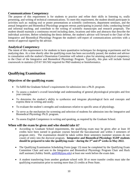# **Communications Competency**

The purpose of this requirement is for students to practice and refine their skills in listening to, orally presenting, and writing of technical communications. To meet this requirement, the student should participate in activities such as: making oral or poster presentations at scientific conferences, department seminars, and the annual Integrative and Biomedical Physiology program retreat; participating in journal clubs; conducting formal and informal teaching; and contribute to the writing of scientific manuscripts and research proposals. The student should maintain a continuous record including dates, locations and titles and abstracts that describe the individual activities. Before scheduling the thesis defense, the student's advisor will forward to the Chair of the Integrative and Biomedical Physiology Program the student's self-report of communications activities with a memo of approval signed by the advisor.

## **Analytical Competency**

The intent of this requirement is for students to learn quantitative techniques for designing experiments and for analyzing data. At a time shortly after the qualifying exam has been successfully passed, the student and advisor in consultation with the student's Dissertation Committee will submit a plan for attaining analytical competency to the Chair of the Integrative and Biomedical Physiology Program. Typically, this plan will include formal coursework in statistics (STAT 501/502 required for PhD students) or bioinformatics.

# **Qualifying Examination**

## **Objectives of the qualifying exam:**

- To fulfill the Graduate School's requirements for admission into a Ph.D. program.
- To assess a student's overall knowledge and understanding of general physiological principles and first year concepts.
- To determine the student's ability to synthesize and integrate physiological facts and concepts and express these in writing and orally.
- To evaluate the student's strengths and weaknesses relative to specific areas of physiology.
- To serve as the mechanism for screening and selection of students for admission into the Integrative and Biomedical Physiology Ph.D. program.
- To assess English Competence in writing and speaking, as required by the Graduate School.

#### **When will the exam be given and who should take it?**

- According to Graduate School requirements, the qualifying exam may be given after at least 18 credits have been earned in graduate courses beyond the baccalaureate and within 3 semesters of program entry. The examination should be taken within three semesters (summer sessions do not count) of entry into the doctoral program. **Integrative and Biomedical Physiology IGDP students should be prepared to take the qualifying exam ~ during the 3rd and 4th weeks in May 2022.**
- The Qualifying Examination Scheduling Form (page 13) must be completed by the Qualifying Exam Committee Chair and sent to the Integrative and Biomedical Physiology Program Chair and Huck staff assistant (Ashley Smith, ajs6938@psu.edu) at least one week before the exam date.
- A student transferring from another graduate school with 30 or more transfer credits must take the qualifying examination prior to earning more than 25 credits at Penn State.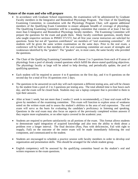#### **Nature of the exam and who will prepare**

- In accordance with Graduate School requirements, the examination will be administered by Graduate Faculty members in the Integrative and Biomedical Physiology Program. The Chair of the Qualifying Examining Committee, in consultation with the Physiology Program Chair, will appoint additional members of the Qualifying Exam Committee to ensure adequate breadth of coverage of physiology. The Qualifying Examining Committee will be a standing committee that consists of at least 3 but not more than 6 Integrative and Biomedical Physiology faculty members. The Examining Committee will prepare the questions for the exam and grade them. Many faculty contribute questions, mostly those who taught respective sections in PHSIO 571/572, but all first year course instructors are solicited for questions. Some but not all "question contributors" are members of "oral examining committee". All students will be given the same written examination on the same days. Prior to the oral exam, a conference will be held so that members of the oral examining committee are aware of strengths and weaknesses identified by the "graders". The "graders" are, in most cases, the same faculty who provided the questions.
- The Chair of the Qualifying Examining Committee will choose 2 to 3 questions from each of 8 areas of physiology from a pool of already created questions which fulfill the above-stated qualifying objectives. The physiology faculty at large will be asked to help develop, and periodically update, the pool of qualifying questions.
- Each student will be required to answer 4 to 8 questions on the first day, and 4 to 8 questions on the second day for a total of 8 to 16 questions over 2 days.
- The questions to be answered on each day will each represent a different testing area, and will be chosen by the student from a pool of 2 to 3 questions per testing area. The total allotted time is four hours each day, and the exam will be closed book. Students may use a laptop computer that is provided to them to type their answers.
- After at least 1 week, but not more than 2 weeks (1 week is recommended), a 2 hour oral exam will be given by members of the examining committee. This exam will function to explore areas of weakness noted on the written exam and to assess the student's abilities in the area of oral expression. The oral exam will serve as the basis for evaluating the candidate's proficiency in listening and speaking. Questions in the oral exam may also focus on aspects of the previously completed written answers if they require more explanation, or on other topics covered in the academic year.
- Students are required to perform satisfactorily on all portions of the exam. This format allows students to demonstrate rapid integration of acquired knowledge and also tests the ability to think about a problem over a longer interval. The final decision (Pass, Pass with deficiencies, Fail with right to reapply, Fail) on the outcome of the entire exam will be made immediately following the oral component, and communicated to the student.
- Students are encouraged to schedule a practice session with faculty members in order to develop oral organization and presentation skills. This should be arranged for the whole student group.
- English competency will be assessed by the qualifying committee based on the student's oral and written responses to the exam questions.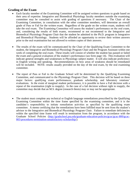## **Grading of the Exam**

- Each faculty member of the Examining Committee will be assigned written questions to grade based on their area of expertise. Integrative and Biomedical Physiology faculty members outside the examining committee may be consulted to assist with grading of questions if necessary. The Chair of the Examining Committee, in consultation with the other committee members, will determine an overall grade of Pass or Fail for the written exam. Regardless of the grade on the written exam, students will take the oral exam. The Examining Committee will assess the student's performance on the oral exam, and, considering the results of both exams, recommend or not recommend to the Integrative and Biomedical Physiology Program Chair that the student be admitted to the Ph.D. program in Integrative and Biomedical Physiology. Students will be afforded an opportunity to review their written answers prior to the oral examination but not allowed to written copies of their answers.
- The results of the exam will be communicated by the Chair of the Qualifying Exam Committee to the student, the Integrative and Biomedical Physiology Program Chair and the Program Assistant within one week of completing the oral exam. These results will consist of whether the student has passed or failed the exam and a general evaluation of the student's performance (see form page 14). This evaluation will indicate general strengths and weaknesses in Physiology subject matter. It will also indicate proficiency in English writing and speaking. Recommendations on how areas of weakness should be remediated will be included. NOTE: results usually provided on the day of the oral exam, by the oral examining committee.
- The report of Pass or Fail to the Graduate School will be determined by the Qualifying Examining Committee, and communicated to the Physiology Program Chair. This decision will be based on three major factors: qualifying exam performances; graduate scholarship, and laboratory rotations' evaluations. In the event of marginal student performance, it is possible to have a Fail decision with a repeat of the examination (right to reapply). In the case of a fail decision without right to reapply, the committee may decide that an M.S. degree (research thesis) may or may not be appropriate.
- The student must complete any technical or English language remediations prescribed by the Qualifying Examining Committee within the time frame specified by the examining committee, and it is the candidate's responsibility to initiate remediation activities as specified by the qualifying exam committee. A memo certifying that the remediations have been fulfilled must be sent from the student's advisor to the Integrative and Biomedical Physiology Program Chair. Failure to remediate deficiencies within the specified time frame will result in termination from the program, in accordance with the Graduate School Policies [\(http://gradschool.psu.edu/graduate-education-policies/gcac/gcac-800/gcac-](http://gradschool.psu.edu/graduate-education-policies/gcac/gcac-800/gcac-803-procedures-termination-unsatisfactory-scholarship/)[803-procedures-termination-unsatisfactory-scholarship/\)](http://gradschool.psu.edu/graduate-education-policies/gcac/gcac-800/gcac-803-procedures-termination-unsatisfactory-scholarship/).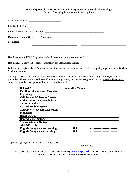#### **Intercollege Graduate Degree Program in Integrative and Biomedical Physiology** Doctoral Qualifying Examination Scheduling Form

| <b>Examining Committee:</b> (Type names) |  |  |
|------------------------------------------|--|--|
| <b>Members:</b>                          |  |  |
|                                          |  |  |

Has the student fulfilled the graduate school's communications requirement?

Has the student provided official confirmation of baccalaureate degree?

Is the student registered as a full-time or part-time student for the semester in which the qualifying examination is taken (excluding summer)?

The objective of this exam is to assess a student's overall knowledge and understanding of general physiological principles. The student should be tested in at least eight areas, such as those suggested below. Please indicate which committee member is responsible for each area to be tested.

| <b>Related Areas</b>                  | <b>Committee Member</b> |  |
|---------------------------------------|-------------------------|--|
| <b>Cardiorespiratory and Vascular</b> |                         |  |
| <b>Physiology</b>                     |                         |  |
| <b>Cellular and Molecular Biology</b> |                         |  |
| <b>Endocrine System, Metabolism</b>   |                         |  |
| and Immunology                        |                         |  |
| <b>Gastrointestinal System</b>        |                         |  |
| <b>Neurophysiology and Membrane</b>   |                         |  |
| <b>Biophysics</b>                     |                         |  |
| <b>Renal System</b>                   |                         |  |
| <b>Reproductive Biology</b>           |                         |  |
| <b>Musculoskeletal System</b>         |                         |  |
| <b>ALL STUDENTS:</b>                  |                         |  |
| <b>English Competence – speaking</b>  | ALL                     |  |
| <b>English Competence – writing</b>   |                         |  |

Approved by: Qualifying Exam Committee Chair \_\_\_\_\_\_\_\_\_\_\_\_\_\_\_\_\_\_\_\_\_\_\_\_\_\_\_\_\_\_\_\_\_\_\_\_\_\_\_

*(signature)*

#### **RETURN COMPLETED FORM TO Ashley Smith (ajs6938@psu.edu) in 101 LIFE SCIENCES FOR APPROVAL AT LEAST 2 WEEKS PRIOR TO EXAM**.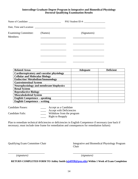#### **Intercollege Graduate Degree Program in Integrative and Biomedical Physiology Doctoral Qualifying Examination Results**

| Name of Candidate:                      |         | PSU Student ID #: |
|-----------------------------------------|---------|-------------------|
| Date, Time and Location:                |         |                   |
| <b>Examining Committee:</b><br>Members: | (Names) | (Signatures)      |
|                                         |         |                   |

| <b>Related Areas</b>                           | <b>Adequate</b> | <b>Deficient</b> |
|------------------------------------------------|-----------------|------------------|
| Cardiorespiratory and vascular physiology      |                 |                  |
| <b>Cellular and Molecular Biology</b>          |                 |                  |
| <b>Endocrine/Metabolism/Immunology</b>         |                 |                  |
| <b>Gastrointestinal System</b>                 |                 |                  |
| <b>Neurophysiology and membrane biophysics</b> |                 |                  |
| <b>Renal System</b>                            |                 |                  |
| <b>Reproductive Biology</b>                    |                 |                  |
| <b>Musculoskeletal System</b>                  |                 |                  |
| <b>English Competence – speaking</b>           |                 |                  |
| <b>English Competence – writing</b>            |                 |                  |

Candidate Passes: \_\_\_\_ Accept as a Candidate \_\_\_\_\_ Accept with Deficiencies Candidate Fails: \_\_\_\_ Withdraw from the program **\_\_\_\_\_** Right to Reapply

Plan to remediate technical deficiencies or deficiencies in English Competence if necessary (use back if necessary; must include time frame for remediation and consequences for remediation failure):

\_\_\_\_\_\_\_\_\_\_\_\_\_\_\_\_\_\_\_\_\_\_\_\_\_\_\_ \_\_\_\_\_\_\_\_\_\_\_\_\_\_\_\_\_\_\_\_\_\_\_\_\_\_\_\_\_

Qualifying Exam Committee Chair Integrative and Biomedical Physiology Program Chair

*(signature) (signature)*

**RETURN COMPLETED FORM TO Ashley Smith (ajs6938@psu.edu) Within 1 Week of Exam Completion**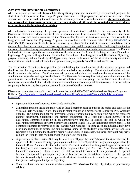#### **Advisors and Dissertation Committees**

After the student has successfully completed the qualifying exam and is admitted to the doctoral program, the student needs to inform the Physiology Program Chair and HUCK program staff of advisor selection. This decision will be influenced by the outcome of the laboratory rotations, as outlined above. **Arrangements for, and approval of, term-by-term details of the student schedule through the remainder of the graduate program is now the function of the advisor.**

After admission to candidacy, the general guidance of a doctoral candidate is the responsibility of the Dissertation Committee, which consists of four or more members of the Graduate Faculty. The committee must include at least two senior members of the Graduate Faculty and at least one member from outside the Integrative and Biomedical Physiology Program. In accordance with Graduate School Policy **[GCAC-602](http://gradschool.psu.edu/graduate-education-policies/gcac/gcac-600/gcac-602-phd-committee-formation/)**, a student's Ph.D. Committee should be formed as soon as possible after the student has secured an adviser, but in no event later than one calendar year following the date of successful completion of the Qualifying Examination unless an alternative timing is approved through the Graduate Council's curricular review process. The Dean of the Graduate School, upon the recommendation of the advisor and the Chair of the Integrative and Biomedical Physiology Program, will appoint the Dissertation Committee. The Integrative and Biomedical Physiology program assistant, Ashley Smith (ajs6938@psu.edu), should be informed of the student's faculty committee composition at this time and will submit and gain necessary approvals from The Graduate School.

The Dissertation Committee is responsible for establishing the broad outline of the student's program and should review the program as soon as possible after admission to candidacy. The student and his/her advisor should schedule this review. The Committee will prepare, administer, and evaluate the examinations of the candidate and supervise and approve the thesis. The Graduate School requires that all committee members be present at each examination, except in the case of a last-minute emergency. In the latter case, the absent committee member should individually examine the candidate as soon as possible afterwards. Alternatively, a temporary substitute may be appointed, except in the case of the final defense.

Dissertation committee composition will be in accordance with GCAC-602 of the Graduate Degree Programs Bulletin: [\(http://gradschool.psu.edu/graduate-education-policies/gcac/gcac-600/gcac-602-phd-committee](http://gradschool.psu.edu/graduate-education-policies/gcac/gcac-600/gcac-602-phd-committee-formation/)[formation/\)](http://gradschool.psu.edu/graduate-education-policies/gcac/gcac-600/gcac-602-phd-committee-formation/):

- 4 person minimum of approved PSU Graduate Faculty.
- 2 members must be inside the major and at least 1 member must be outside the major and serve as the "Outside Field Member." Note - the outside member must be a member of the approved PSU Graduate Faculty. The outside member for intercollege graduate programs may be inside the major but represent another department. Specifically, the primary appointment of at least one regular member of the dissertation committee must be in an administrative unit that is outside the unit in which the dissertation/performance adviser's primary appointment is held (i.e., the individual's tenure home). This committee member is referred to as the "Outside Unit Member." In some cases, an individual may have a primary appointment outside the administrative home of the student's dissertation adviser and also represent a field outside the student's major field of study; in such cases, the same individual may serve as both the Outside Field Member and the Outside Unit Member.
- A person not affiliated with PSU may be added as a "Special Member" (beyond the 4 members of the approved PSU Graduate Faculty) upon recommendation of the Chair of the Program and approval of the Graduate Dean. A memo plus the individual's C.V. must be drafted with approval signature spaces for the Integrative and Biomedical Physiology Program Chair plus Ms. Lori Anne Hawn (Director, Graduate Enrollment). Please contact the Staff Assistant to assist with this paperwork. A Special Member is expected to participate fully in the functions of the dissertation committee. If the Special Member is asked only to read and approve the doctoral dissertation or to evaluate the final performance, that person is designated a Special Signatory.
- The committee chair be a member of the approved PSU Graduate Faculty. Typically, it's your faculty advisor.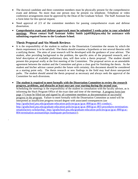- The doctoral candidate and three committee members must be physically present for the comprehensive exam and defense. No more than one person may be present via telephone. Telephone or video conference arrangements must be approved by the Dean of the Graduate School. The Staff Assistant has a form letter for this special request.
- Need approval of 2/3 of the committee members for passing comprehensive exam and defense dissertation.
- **Comprehensive exam and defense paperwork must be submitted 3 weeks prior to your scheduled meetings. Please contact Staff Assistant Ashley Smith (ajs6938@psu.edu) for assistance with submitting required forms to the Graduate School.**

## **Thesis Proposal and Six-Month Reviews**

.

- It is the responsibility of the student to outline to the Dissertation Committee the means by which the thesis requirement is to be satisfied. The thesis should examine a hypothesis or test several theories with a unifying theme. The aims of your research will be developed with the guidance of your advisor. The student, after providing background to the problem, the specific aims of the proposed research, and a brief description of available preliminary data, will then write a thesis proposal. The student should present this proposal orally at the first meeting of the Committee. The proposal serves as an amendable agreement between the student and the Committee and gives a clear goal for finishing the thesis. As the student and his/her advisor cannot predict the future with certainty, this document should be considered as a starting point only. The thesis research or new findings in the field may lead down unexpected paths. The student should amend the thesis proposal as necessary and always seek the approval of the Committee for such diversions.
- **The student is required to meet formally with the Dissertation Committee to review the research progress, problems, and obstacles at least once per year starting during the second year.** Scheduling the meetings is the responsibility of the student in consultation with the faculty advisor, as is informing the Huck Program Office of the exact date and time of the meetings. A progress form (see page 17) must be filled out and signed by all committee members as documentation of successful progress in the program. Failure to meet formally with the Dissertation Committee as noted will be interpreted as insufficient progress toward degree with associated consequences (see [http://gradschool.psu.edu/graduate-education-policies/gcac/gcac-800/gcac-801-conduct/,](http://gradschool.psu.edu/graduate-education-policies/gcac/gcac-800/gcac-801-conduct/) [http://gradschool.psu.edu/graduate-education-policies/gcac/gcac-800/gcac-803-procedures-termination](http://gradschool.psu.edu/graduate-education-policies/gcac/gcac-800/gcac-803-procedures-termination-unsatisfactory-scholarship/)[unsatisfactory-scholarship/,](http://gradschool.psu.edu/graduate-education-policies/gcac/gcac-800/gcac-803-procedures-termination-unsatisfactory-scholarship/) [http://gradschool.psu.edu/graduate-education-policies/gcac/gcac-800/gcac-](http://gradschool.psu.edu/graduate-education-policies/gcac/gcac-800/gcac-804-termination-assistantships-inadequate-performance/)[804-termination-assistantships-inadequate-performance/](http://gradschool.psu.edu/graduate-education-policies/gcac/gcac-800/gcac-804-termination-assistantships-inadequate-performance/)).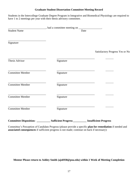#### **Graduate Student Dissertation Committee Meeting Record**

Students in the Intercollege Graduate Degree Program in Integrative and Biomedical Physiology are required to have 1 to 2 meetings per year with their thesis advisory committee.

| <b>Student Name</b>     |           | Date |                                 |
|-------------------------|-----------|------|---------------------------------|
| Signature               |           |      |                                 |
|                         |           |      | Satisfactory Progress Yes or No |
| Thesis Advisor          | Signature |      |                                 |
| <b>Committee Member</b> | Signature |      |                                 |
| <b>Committee Member</b> | Signature |      |                                 |
| <b>Committee Member</b> | Signature |      |                                 |
| <b>Committee Member</b> | Signature |      |                                 |
|                         |           |      |                                 |

Committee's Perception of Candidate Progress (please provide a specific **plan for remediation** if needed and **associated consequences** if sufficient progress is not made; continue on back if necessary):

**Mentor Please return to Ashley Smith (ajs6938@psu.edu) within 1 Week of Meeting Completion**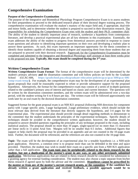# **Comprehensive Examination**

#### **Purpose of the Comprehensive Examination**

The purpose of the Integrative and Biomedical Physiology Program Comprehensive Exam is to assess students for their preparedness to proceed to the dedicated research phase of their doctoral degree training process. The comprehensive examination will evaluate the student's mastery of the major field and, if appropriate, dual-title and minor fields, and to determine whether the student is prepared to succeed in their dissertation research. The responsibility for scheduling the Comprehensive Exam rests with the student and their Ph.D. committee chair. The ability of the student to identify important areas of research, synthesize a hypothesis from contemporary literature, and develop a practical experimental plan are all key elements in this examination. Essentially, the exam addresses the ability of the student to progress from theoretical answers provided in response to course exam questions and advance to identifying important questions on their own and developing a realistic plan to answer these questions. As such, this exam represents an important opportunity for the thesis committee to identify those students capable of obtaining a doctoral degree and separating them from those students that are not prepared to proceed with their doctoral research. Paperwork for the Comprehensive Examination must be completed and submitted to the Integrative and Biomedical Physiology staff assistant at least three weeks prior to the proposed test date. **Typically, this exam should be completed during the 3rd year.**

#### **Written Comprehensive Exam**

**Written Comprehensive Exam Format**: The format of the comprehensive exam will be determined by the student's primary advisory **and** the dissertation committee and will follow policies set forth by the Graduate School (GCAC-606, **[https://gradschool.psu.edu/graduate-education-policies/gcac/gcac-600/gcac-606](https://gradschool.psu.edu/graduate-education-policies/gcac/gcac-600/gcac-606-comp-exam-temp/) [comp-exam-temp/\)](https://gradschool.psu.edu/graduate-education-policies/gcac/gcac-600/gcac-606-comp-exam-temp/)**. For example, the comprehensive exam may be the development of an experimental plan (grant proposal) that could be reasonably expected to refute or provide substantive support for the proposed hypothesis. Alternatively, the format for the comprehensive exam may consist of a series of in-depth questions related to the candidate's primary area of interest and based on classic and current literature. The questions will be written by the dissertation committee members, and the written exam will be administered over a two-day period, with the student writing for 6 to 8 hours per day. The written exam will be followed approximately one week later by an oral exam by the doctoral dissertation committee.

Suggested format for the grant proposal exam is an NIH R21 proposal (following NIH directions for component parts) with 1-page specific aims, 1-page background, 2-page preliminary evidence, which should include the most relevant data derived from the literature that directly supports the hypothesis, and 3-4 pages for the experimental plan. The experimental plan should provide enough detail regarding methods to demonstrate to the committee that the student understands the principles of the experimental techniques. Specific details of techniques should be avoided in the comprehensive written application; however, the student should be prepared to answer detailed questions regarding the principles of any technique proposed in the exam, including statistical analysis. The proposal should no more than 10 pages, single-spaced (or no more than 15 characters per linear inch) in 11-point Arial font. Margins will be no smaller than 0.5 inches. Additional figures that support or help clarify the proposal may be provided in an appendix and are not counted in the 10-page exam limit. Further, the document will be referenced, and the references are also not counted in the 10-page limit.

**Topic**: The exam will be the development of an experimental plan for a testable hypothesis i.e. a NIH-style grant application. However, a common error is to propose more than can be defended in the time and space provided. Therefore, the student may wish to model their exam on a specific aim from a NIH R21 application rather than a full application. **The exam topic may be peripherally related to the thesis research for the student, but not a duplication of the mentor's grant in any way, or any other previously submitted application**. Meritorious applications that are related to thesis research should be considered for submission to a granting agency for external funding consideration. The student may also choose a topic separate from his/her thesis research if agreed upon by both the advisor and the committee. **Hypotheses cannot be prescribed by the mentor or from any of the mentor's current research grants, or the committee. If the candidate has already written a grant application and received feedback, a possible approach would be to**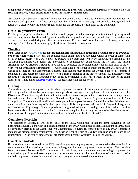#### **independently write an additional aim for the existing grant with additional approaches to model an NIH RO1 application, which substantially alters the nature of the proposal.**

All students will provide a *letter of intent* for the comprehensive topic to the Dissertation Committee for comments and approval. The letter of intent will be no longer than one page and provide a background and rationale, a clear hypothesis, and the specific aims for the proposal, 8 weeks prior to the exam date.

### **Oral Comprehensive Exam**

For the grant proposal mechanism, the student should prepare a ~40 min oral presentation including background and rationale, supportive data and figures to clarify the proposal and the experimental plan. The student can expect to be questioned during and after the presentation. For the class/current literature oral exam, the student can expect 1 to 2 hours of questioning by the doctoral dissertation committee.

## **Timeline**

Penn State policy **[\(GCAC-606](https://gradschool.psu.edu/graduate-education-policies/gcac/gcac-600/gcac-606-comp-exam-temp/) https://gradschool.psu.edu/graduate-education-policies/gcac/gcac-600/gcac-606-comp-exam-temp/)** states that the comprehensive exam should be scheduled within one year of completion of all required course work, but it must be scheduled no later than five years following the passing of the Qualifying Examination. Students are encouraged to complete the exam during the  $3<sup>rd</sup>$  year, and tuition assistance may be affected if students have failed to complete the comprehensive examination prior to the 4<sup>th</sup> year without extenuating circumstances. After acceptance of the letter of intent the student will have up to 8 weeks to prepare for the comprehensive exam. The student must submit the written exam to all committee members 1 week before the exam date or 7 weeks from acceptance of the letter of intent. All necessary forms required by the Penn State Graduate School must be completed at least three weeks in advance of the exam (please see Ashley Smith (ajs6938@psu.edu) for assistance with the paperwork).

# **Grading**

The student may receive a pass or fail for the comprehensive exam. If the student receives a pass the student will be graded as either below average, average, above average or exceptional. If the student fails, the Dissertation Committee may decide to allow the student a second opportunity to take the exam or may decide the student must leave the Integrative and Biomedical Physiology Graduate Program in accordance with Penn State policy. The student will be afforded two opportunities to pass the exam. Should the student fail the exam, the dissertation committee may offer the opportunity to finish the program with an M.S. Degree in Integrative and Biomedical Physiology. Grant proposals will be graded using an NIH rating scale. A favorable vote of at least two-thirds of the members of the Ph.D. committee is required for passing the Comprehensive Examination. Upon successful completion, the student should be continually enrolled in PHSIO 601.

# **Committee Oversight**

The dissertation adviser, as well as the chair of the Ph.D. Committee (if not the same individual as the dissertation adviser), along with additional members of the Ph.D. Committee to total a minimum of three, must be physically present at the Comprehensive Examination. Requests for participation of any Ph.D. committee member via distance must accompany the Examination Request Form at least two weeks prior to the date of the examination. (In the case of emergencies, programs should contact Graduate Enrollment Services.)

#### **Dual Title Students**

If the student is also enrolled in the CTS dual-title graduate degree program, the comprehensive examination requirements of the dual-title program must be integrated into the comprehensive examination. The dual-title faculty representative on the Ph.D. committee will work closely with the mentor in constructing comprehensive examination questions and assessing student performance related to the dual-title area of study as part of a unified comprehensive examination with the major program administered to the student.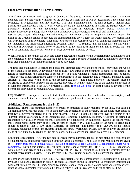# **Final Oral Examination / Thesis Defense**

A final oral examination will be given in defense of the thesis. A meeting of all Dissertation Committee members must be held within 6 months of the defense at which time it will be determined if the student has completed all requirements and may proceed. The final examination must be held at least 3 months after passing the comprehensive and at least 7 weeks before the commencement in which the student wishes to participate. Details of this requirement are provided in Graduate School Policy **[GCAC-608](https://gradschool.psu.edu/graduate-education-policies/gcac/gcac-600/gcac-608-final-oral-examination-research-doctorate/)** (https://gradschool.psu.edu/graduate-education-policies/gcac/gcac-600/gcac-608-final-oral-examinationresearch-doctorate/). The Integrative and Biomedical Physiology Graduate Program Chair must request the Dean of the Graduate School to schedule the examination and give at least six weeks' notice. No examination will be scheduled until a complete "final draft" of the thesis has been received by all committee members and by the Integrative and Biomedical Physiology Program Chair. It is required that the final draft be *thoroughly reviewed by the student's advisor* prior to distribution to the committee members and that all copies must be given to committee members *no less than 14 days* before the scheduled defense.

When a period of more than six years has elapsed between the passing of the Comprehensive Examination and the completion of the program, the student is required to pass a second Comprehensive Examination before the final oral examination or final performance will be scheduled.

The final oral examination is open to the public and, although largely related to the thesis, may cover the whole of the candidate's program. A favorable vote of at least two-thirds of the committee is required for passing. If failure is determined, the committee is responsible to decide whether a second examination may be taken. Thesis defense paperwork must be completed and submitted to the Integrative and Biomedical Physiology staff assistant at least three weeks prior to the proposed test date. The public portion of the defense must be advertised to all relevant listservs and an abstract provided. It is the responsibility of the student and mentor to provide this information to the HUCK program assistant (ajs6938@psu.edu) at least 1 week in advance of the defense for distribution to relevant HUCK listservs.

**Expectation**: It is expected that each student will have a minimum of three first-authored manuscripts (based on his/her research) that have been either accepted and/or published in a peer reviewed journal.

#### **Additional Requirements for the Ph.D.**

Residence. There is no minimum number of credits or semesters of study required for the Ph.D., but during a 12-month interval between admission to candidacy and completion of the program, the candidate must spend at least two semesters registered as a full-time student. This will usually be achieved over the course of the "normal" second year of study in the Integrative and Biomedical Physiology Program. "Full time" is defined as registration for at least 9 credits for those supported by a fellowship or traineeship. During the second year, these credit requirements may be met only in part by course work. The balance of the required credit load should be taken as PHSIO 600, Thesis Research (on campus). The number of PHSIO 600 credits should accurately reflect the effort of the students in thesis research. Work under PHSIO 600 can be given the deferred grade of "R", but only 12 credits of "R" can be converted to a conventional grade in a given Ph.D. program.

Continuous Registration. After the two-semester residency requirement (above) is met, status as a student must be maintained by continuous registration until the thesis is accepted. The details of this requirement are given at [http://gradschool.psu.edu/graduate-education-policies/gcac/gcac-500/gcac-515-registration-course-work](http://gradschool.psu.edu/graduate-education-policies/gcac/gcac-500/gcac-515-registration-course-work-completed/)[completed/.](http://gradschool.psu.edu/graduate-education-policies/gcac/gcac-500/gcac-515-registration-course-work-completed/) During this interval, the full-time student should register for PHSIO 601, Thesis Preparation, which involves no credits and is graded "R" (research). PHSIO 601 cannot be used until the semester after the comprehensive exam is passed. "R" grades from PHSIO 601 cannot be converted to conventional grades.

It is important that students use the PHSIO 601 registration after the comprehensive requirement is filled, as it involves a substantial reduction in tuition. If courses are taken during this interval (> 3 credits per semester), an additional tuition fee must be paid. Normally, students should complete their course work and comprehensive exam as soon as possible; efforts should be devoted entirely to thesis research and writing after this time.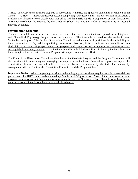Thesis. The Ph.D. thesis must be prepared in accordance with strict and specified guidelines, as detailed in the **[Thesis Guide](https://gradschool.psu.edu/completing-your-degree/thesis-and-dissertation-information/)** (https://gradschool.psu.edu/completing-your-degree/thesis-and-dissertation-information/). Students are advised to work closely with that office and the **Thesis Guide** in preparation of their dissertation. A **format check** will be required by the Graduate School and it is the student's responsibility to meet all imposed deadlines.

### **Examination Schedule**

The above schedule outlines the time course over which the various examinations required in the Integrative and Biomedical Physiology Program must be completed. The timetable is based on the academic year, September to August. The faculty, Dissertation Committee and student will participate in the scheduling of these examinations. Beyond the qualifying examination, however, it is the ultimate responsibility of each student to be certain that progression of the program and completion of the appropriate examinations are accomplished in a timely fashion. Examinations should be scheduled as outlined in these guidelines, based on the assumption that the entire Graduate Program will require four years of effort.

The Chair of the Dissertation Committee, the Chair of the Graduate Program and the Program Coordinator will aid the student in scheduling and arranging the required examinations. Permission to postpone any of the examinations beyond the interval indicated must be obtained in advance by the individual student by arrangement with the Chair of the Dissertation Committee and the Program Chair.

**Important Notice**: After completing or prior to scheduling any of the above requirements it is essential that you contact the HUCK staff assistant (Ashley Smith, ajs6938@psu.edu). Most of the milestones in your progress require formal notification and/or scheduling through the Graduate Office. Please inform the office of your progress and intentions at least three weeks in advance.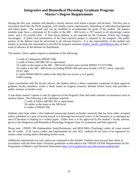# **Integrative and Biomedical Physiology Graduate Program Master's Degree Requirements**

During the first year, students will identify a faculty advisor with whom a project will be done. The first year is structured much like the Ph.D. program, with similar course requirements, depending on individual background and future goals. The second year can be modified to accommodate the goals of the student. All masters students must have a minimum of 30 credits at the 400 – 600 levels, a "B" earned in all physiology course taken, and a 3.0 overall GPA. A final thesis defense is not required by the Graduate School but strongly encouraged. A public oral presentation of the final research project is required by the program. The public portion of the defense must be advertised to all relevant listservs. It is the responsibility of the student and mentor to provide this information to the HUCK program assistant (Ashley Smith; ajs6938@psu.edu) at least 1 week in advance of the defense for distribution.

The master's thesis option requires a minimum of the following:

1 credit of Colloquium (PHSIO 590) 2 credit of Ethics (MCIBS 591 or equivalent) 14 credits in the major at the 400 – 500 levels (which must include PHSIO 571/572/590) 18 credits at the 500 – 600 levels (excluding PHSIO 600 and must include a STAT course, typically STAT 500) 6 credits PHSIO 600 (6 credits is the limit that can receive a A-F grade) SARI training

Upon consultation with the faculty advisor, the student selects a thesis committee comprised of three approval graduate faculty members, writes a thesis based on original research, defends his/her work, and provides a public seminar on his/her work.

A non-thesis master's option is only by approval of the Program Chair and under extreme circumstances such as medical illness. The following is the minimum required:

> 2 credit of Ethics (MCIBS 591 or equivalent) 18 credits in the major at the 500 level 6 credits of PHSIO 596

Students must have either a first authored manuscript (based on his/her research) that has been either accepted and/or published in a peer reviewed journal or a thorough but focused review of the literature in a contemporary area of literature in leading to a written paper. Either item is to be approved by the student's faculty advisor, given to the Integrative and Biomedical Physiology Program Chair for evaluation and final approval.

Please note - PHSIO 596 (Independent Study/Rotations), and BIOL598A (Teaching) credits all count toward the 30 credits. If all course credits and requirements are met, M.S. students do not have to be registered for classes while writing and/or defending his/her work.

Additional requirements for each option are contained in this booklet. Students must present their thesis in accordance with the Penn State University guidelines as described in the THESIS GUIDE Requirements for the Preparation of Master's and Doctoral Dissertation<http://www.gradschool.psu.edu/current-students/etd/>**.**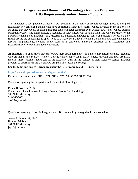# **Integrative and Biomedical Physiology Graduate Program IUG Requirements and/or Honors Options**

The Integrated Undergraduate/Graduate (IUG) program in the Schreyer Honors College (SHC) is designed exclusively for Schreyer Scholars who have exceptional academic records; whose progress in the major is so advanced that they would be taking graduate courses in later semesters even without IUG status; whose general education progress and plans indicate a readiness to forge ahead with specialization; and who are ready for the particular challenge of graduate work, research and advancing knowledge. Schreyer Scholars who believe they fit this profile are encouraged to apply to be IUG Scholars. Schreyer Honors Scholars can also complete honors research in physiology, so long as the research is completed under the direction of an Integrative and Biomedical Physiology IGDP faculty member.

**Application**: The application process for IUG must begin during the 4th, 5th or 6th semester of study*.* (Students who are not in the Schreyer Honors College cannot apply for graduate studies through this IUG program. Instead, those students should contact the Associate Dean in the College of their major or desired graduate program to determine if there is an IUG program in effect in the college.)

**Use the following link to learn more about the IUG Program and** IUG Guidelines

**<https://www.shc.psu.edu/academics/opportunities/>**

Required courses include: PHSIO 571, PHSIO 572, PHSIO 590, STAT 500.

Questions regarding the Integrative and Biomedical Physiology IUG:

Donna H. Korzick, Ph.D. Chair, Intercollege Program in Integrative and Biomedical Physiology 106 Noll Laboratory 814-865-5679 dhk102@psu.edu

Questions regarding Honors in Integrative and Biomedical Physiology should be directed to:

James A. Pawelczyk, Ph.D. Honors, Advisor 107 Noll Laboratory jap18@psu.edu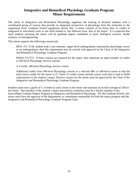# **Integrative and Biomedical Physiology Graduate Program Minor Requirements**

The minor in Integrative and Biomedical Physiology augments the training of doctoral students with a coordinated group of courses that provide an integrated perspective of physiology from the molecular to the organismal level. Graduate School regulations dictate that "a minor consists of no fewer than 15 credits of integrated or articulated work in one field related to, but different from, that of the major." It is expected that most students pursuing the minor will be graduate degree candidates in basic biological sciences, health sciences, or bioengineering.

This minor requires the following coursework:

BIOL 472. If the student took a one-semester, upper-level undergraduate mammalian physiology course as an undergraduate, then this requirement may be waived with approval by the Chair of the Integrative and Biomedical Physiology Graduate Program.

PHSIO 571/572. If these courses are required for the major, then substitute an equal number of credits in 500-level Physiology elective courses.

A 3-credit, 500-level Physiology elective course.

Additional credits from 500-level Physiology courses or a relevant 400- or 500-level course so that the total course credits for the minor is 15. These 15 credits cannot include course work that is used to fulfill requirements in the student's major. Elective courses for the minor must be approved by the Chair of the Integrative and Biomedical Physiology Graduate Program.

Students must earn a grade of C or better in each course in the minor and maintain an overall average of 3.00 in the minor. One member of the student's major dissertation committee must be a faculty member in the Intercollege Graduate Degree Program in Integrative and Biomedical Physiology. Per the Graduate School, this minor must have the approval of the departments or committees responsible for both the major program and the Integrative and Biomedical Physiology Graduate Program Chair.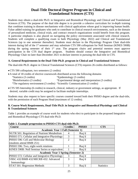# **Dual-Title Doctoral Degree Program in Clinical and Translational Sciences (CTS)**

Students may obtain a dual-title Ph.D. in Integrative and Biomedical Physiology and Clinical and Translational Sciences (CTS). The purpose of the dual title degree is to provide a cohesive curriculum for in-depth training that combines training in disease mechanisms with clinical applications whose goal is improving human health. Value added training for graduates who seek to contribute in clinical research environments, such as the domain of personalized medicine, clinical trials, and contract research organizations would benefit from this program. A particular emphasis is also placed on navigating the policy environment associated with clinical research. Students will complete a qualifying exam in both Physiology (May 2022) and Clinical and Translational Sciences (up to one semester thereafter). Students must declare to the Physiology Program Chair dual-title interest during fall of the 1st semester and may substitute CTS 590 colloquium for Noll Seminar (KINES 590B) during the spring semester of their 1<sup>st</sup> year. The program chairs and potential mentors must approve participation in the CTS dual degree program. Students should contact the Integrative and Biomedical Physiology Chair no later than December 2021 to declare interest in pursuing the dual-title in CTS.

#### **A. General Requirements in the Dual-Title Ph.D. program in Clinical and Translational Sciences**

The dual-title Ph.D. degree in Clinical Translational Sciences (CTS) requires 26 credits distributed as follows:

- •CTS 590 colloquium, two semesters (2 credits)
- •A total of 18 credits of elective coursework distributed across the following domains °Statistics (3 credits) °Epidemiology (3 credits) °Bioinformatics (3 credits) °Experimental design and interpretation (3 credits)  $^{\circ}$ The regulatory environment (3 credits)  $^{\circ}$ Scientific Communication (3 credits)
- •CTS 595 Internship (6 credits) in research, clinical, industry or government settings, as appropriate. If desired, variable credit may be assigned to facilitate multiple internships.

Students may also request to have specific courses counted toward both their PHSIO degree and the dual-title, with the permission of each Program Head (maximum of 12 credits).

#### **B. Course Work Requirements, Dual-Title Ph.D. in Integrative and Biomedical Physiology and Clinical & Translational Sciences**

Table 1 provides an example of course work for students who elect to participate in the proposed Integrative and Biomedical Physiology-CTS dual-title Ph.D.

| rapič r. Example prverebbon to r moro "Cro" udar the r mp" |                             |                 |                   |
|------------------------------------------------------------|-----------------------------|-----------------|-------------------|
| <b>Course</b>                                              | <b>Credits</b>              | <b>PHSIO</b>    | <b>CTS</b>        |
| <b>Academic Year 1 Fall (Semester 1)</b>                   |                             |                 |                   |
| NUTR 501: Regulation of Nutrient Metabolism                | 4                           | $\text{Re}q'$ d |                   |
| PHSIO 571: Cellular and Integrative Physiology             | 3                           | Req'd           |                   |
| PHSIO 596: Cell and Molecular Biology                      | $\mathcal{D}_{\mathcal{L}}$ | Req'd           |                   |
| (students attend BMB $251$ )                               |                             |                 |                   |
| PHSIO 596: Two, eight-week rotations                       |                             | Req'd           |                   |
| KINES 590B: Noll Seminar Series or equivalent              |                             | Req'd           |                   |
| <b>Academic Year 1 Spring (Semester 2)</b>                 |                             |                 |                   |
| PHSIO 572: Cellular and Integrative Physiology             | 3                           | $\text{Re}q'$ d |                   |
| VBSC 432/BMB 432/MICRB 432: Advanced                       | 3                           | Req'd           |                   |
| Immunology                                                 |                             |                 |                   |
| STAT 501: Regression Methods                               | 3                           | Req'd           | <b>Statistics</b> |

#### **Table 1. Example progression to PHSIO-CTS dual-title Ph.D.**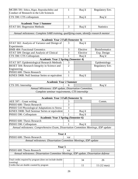| MCIBS 591: Ethics, Rigor, Reproducibility and<br>1<br>Conduct of Research in the Life Sciences | Req'd    | Regulatory Env.       |
|------------------------------------------------------------------------------------------------|----------|-----------------------|
|                                                                                                |          |                       |
| CTS 590: CTS colloquium<br>1                                                                   | Req'd    | Req'd                 |
|                                                                                                |          |                       |
| <b>Academic Year 1 Summer</b>                                                                  |          |                       |
| 3<br>STAT 501: Regression Methods                                                              | Req'd    | <b>Statistics</b>     |
|                                                                                                |          |                       |
| Annual milestones: Complete SARI training, qualifying exam, identify research mentor           |          |                       |
|                                                                                                |          |                       |
| <b>Academic Year 2 Fall (Semester 3)</b>                                                       |          |                       |
| STAT 502: Analysis of Variance and Design of<br>3                                              | Req'd    |                       |
| Experiments                                                                                    |          |                       |
| <b>BMB 484: Functional Genomics</b><br>3                                                       | Elective | <b>Bioinformatics</b> |
| $\overline{3}$<br>STAT 509: Design and Analysis of Clinical                                    | Elective | Exp. Design           |
| CTS 590: CTS Colloquium<br>$\mathbf{1}$                                                        | Req'd    | Req'd                 |
| <b>Academic Year 2 Spring (Semester 4)</b>                                                     |          |                       |
| STAT 507: Epidemiological Research Methods<br>3                                                |          | Epidemiology          |
| BIOET 504: Research Integrity in Science and<br>$\overline{2}$                                 |          | Regulatory Env.       |
| Engineering                                                                                    |          |                       |
| PHSIO 600: Thesis Research<br>3                                                                |          |                       |
| $\mathbf{1}$<br>KINES 590B: Noll Seminar Series or equivalent                                  | Req'd    |                       |
|                                                                                                |          |                       |
| <b>Academic Year 2 Summer</b>                                                                  |          |                       |
| CTS 595: Internship<br>6                                                                       |          | Req'd                 |
| Annual Milestones: IDP update, Dissertation Committee,                                         |          |                       |
|                                                                                                |          |                       |
| Complete seminar requirements, CTS internship                                                  |          |                       |
|                                                                                                |          |                       |
| <b>Academic Year 3 Fall (Semester 5)</b>                                                       |          |                       |
| AEE 597: : Grant writing<br>3                                                                  |          | Comm.                 |
| $\overline{3}$<br>PHSIO 600: Thesis Research                                                   |          |                       |
| $\overline{3}$<br>PHSIO 510 Physiological Adaptations to Stress                                |          |                       |
| KINES 590B: Noll Seminar Series or equivalent<br>1                                             | Req'd    |                       |
| PHSIO 590: Colloquium<br>1                                                                     | Req'd    |                       |
| <b>Academic Year 3 Spring (Semester 6)</b>                                                     |          |                       |
| PHSIO 600: Thesis Research<br>6                                                                |          |                       |
| PHSIO 590: Colloquium<br>1                                                                     | Req'd    |                       |
| Annual milestones: Comprehensive Exam, Dissertation Committee Meetings, IDP update             |          |                       |
|                                                                                                |          |                       |
| Year 4                                                                                         |          |                       |
| PHSIO 600: Thesis Research<br>var                                                              |          |                       |
| Annual milestones: Dissertation Committee Meetings, IDP update                                 |          |                       |
|                                                                                                |          |                       |
| Year 5<br>PHSIO 600: Thesis Research<br>var                                                    |          |                       |
|                                                                                                |          |                       |
| Annual milestones: Dissertation Committee Meetings, IDP update, Dissertation defense           |          |                       |
| Total credits required by program (does not include double<br>counting)                        | 34       | 26                    |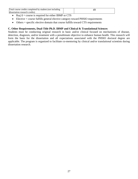| Total course credits completed by student (not including |  |
|----------------------------------------------------------|--|
| dissertation research credits)                           |  |

- Req'd = course is required for either IBMP or CTS
- Elective = course fulfills general elective category toward PHSIO requirements
- Others = specific elective domain that course fulfills toward CTS requirements

#### **C. Other Requirements, Dual-Title Ph.D. IBMP and Clinical & Translational Sciences**

Students must be conducting original research in basic and/or clinical focused on mechanisms of disease, detection, diagnosis, and/or treatment with a penultimate objective to enhance human health. This research will form the basis for the dissertation and all expectations associated with the PHSIO doctoral degree are applicable. The program is organized to facilitate co-mentoring by clinical and/or translational scientists during dissertation research.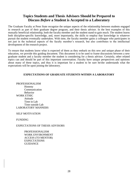# **Topics Students and Thesis Advisors Should be Prepared to Discuss** *Before* **a Student is Accepted to a Laboratory**

The Graduate Faculty at Penn State recognize the unique aspects of the relationship between students engaged in research as part of their graduate degree program, and their thesis advisor. In the best examples of this mutually beneficial relationship, both the faculty member and the student stand to gain much. The student learns both discipline-specific knowledge, and, more importantly, the skills to employ that knowledge in whatever pursuit the student eventually undertakes. With time, the faculty member gains a colleague who participates in not just in the technical aspects of the faculty member's research, but also contributes to the intellectual development of the research project.

To ensure that students know what is expected of them as they embark on this new and unique phase of their education, we provide this guiding document. This document is to be used to frame discussions between a new graduate student and a faculty member the student is considering for a thesis advisor. Certainly, other related topics can and should be part of this important conversation. Faculty have unique perspectives and opinions about many of these topics, and thus it is important for a student to be sure he/she understands what the expectations will be upon joining the laboratory.

#### **EXPECTATIONS OF GRADUATE STUDENTS WITHIN A LABORATORY**

PROFESSIONALISM Honesty Communication Behavior WORK ETHIC Attitude Time in Lab Time outside Lab LABORATORY MANNERS

#### SELF MOTIVATION

FUNDING

#### EXPECTATIONS OF THESIS ADVISORS

PROFESSIONALISM WORK ENVIRONMENT ACCESS (TO MENTOR) **EXPECTATIONS GUIDANCE**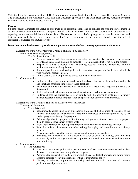#### **Student-Faculty Compact**

(Adapted from the Recommendation of The Committee on Graduate Student and Faculty Issues, The Graduate Council, The Pennsylvania State University, 2009 and The Document approved by the Penn State Hershey Graduate Program Directors May 6, 2006 and updated April 22, 2010)

#### **Purpose:**

Student-Faculty Compacts are useful to encourage good communications and to enhance the working environment in student-advisor/mentor relationships. Compacts provide a basis for discussion between students and advisors/mentors regarding mutual responsibilities and future plans. "The compact serves as both a pledge and a reminder to advisors and their graduate students that their conduct in fulfilling their commitments to one another should reflect the highest professional standards and mutual respect."

#### **Items that should be discussed by students and potential mentors before choosing a permanent laboratory:**

#### *Expectations of the Advisor towards Graduate Students in a Laboratory*

- 1. Professionalism/Honesty/Ethics
	- a. The Graduate Student will:
		- i. Perform research and other educational activities conscientiously, maintain good research records and catalog and maintain all tangible research materials that result from the project.
		- ii. Respect all ethical standards when conducting research including compliance with all institutional and federal regulations.
		- iii. Show respect for and work collegially with co-workers, support staff and other individuals with whom the student interact.
		- iv. Do the best to satisfy all project deadlines outlined by the advisor.
- 2. Communication
	- i. Outline a defined program of research with the advisor that will include well defined goals and timelines. Organize time to meet these deadlines.
	- ii. Have open and timely discussions with the advisor on a regular basis regarding the status of the research.
	- iii. Seek regular feedback on performance and expect annual performance evaluations.
	- iv. Understand that the student has a responsibility with the advisor to write up, in a timely manner, research findings for publication and presentation at professional meetings.

#### *Expectations of the Graduate Students in a Laboratory of the Advisor*

- 1. Training and Education
	- a. The Advisor will:
		- i. Set a mutually agreed upon set of expectations and goals at the beginning of the outset of the student's admission to the laboratory. These will be reviewed and revised periodically as the student progresses through the program.
		- ii. Acknowledge that the purpose of the training that graduate students receive is to prepare them to become independent professionals.
		- iii. Work to prepare students for required program examinations and committee selections.
		- iv. Read the student's dissertation and other writing thoroughly and carefully and in a timely manner.
		- v. Provide the student with the required guidance and mentoring as needed.
		- vi. Encourage the interaction of the student with other students and faculty, both intra and extramurally and encourage attendance at professional meetings to network and to present research findings.

#### 2. Communication

- a. The Advisor will:
	- i. Meet with the student periodically over the course of each academic semester and no less than once per semester to review goals and progress.
	- ii. Acknowledge contributions to the development of any intellectual property and define future access to tangible research materials according to institutional policy.
	- iii. Discuss, in advance, appropriate authorship and co-authorship roles on all relevant publications and presentations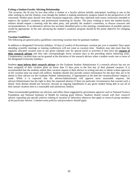#### **Exiting a Student-Faculty Advising Relationship:**

"On occasion, the fit may be less than either a student or a faculty advisor initially anticipated, resulting in one or the other seeking to end the relation, even though the student is making satisfactory progress based on the perspectives of all concerned. Neither party should view these situations negatively; rather they represent mid-course corrections intended to improve the student's academic and professional mentoring by faculty. The party wishing to leave the student-faculty relation should request a meeting with the other party, and possibly the student's committee, to discuss concerns and recommendations. If an alternative advisor has not been identified prior to this meeting, consideration of possible options would be appropriate. In the end, advancing the student's academic program should be the prime objective for changing advisors."

#### **Vacation Guidelines:**

The following are general policy guidelines concerning vacation time for graduate students:

In addition to designated University holidays, 10 days (2 weeks) of discretionary vacation per year is standard. Days spent attending scientific meetings or training conferences will not count as vacation time. Students may take more than the regularly allocated vacation time in any given calendar year for special travel or activities if they have the **consent of their research advisor** and they take correspondingly fewer vacation days in the preceding and/or following years. Compensatory vacation time can be granted at the discretion of the research advisor when a student works one or more of the designated University holidays.

Students **must inform their research advisor** (or the Graduate Student Administrator if a research advisor has not yet been assigned) of their vacation plans no fewer than 15 days prior to the first day of their planned vacation. It is recommended that the students submit their vacation request to their advisor in writing and also to obtain written approval of the vacation time (an email will suffice). Students should also provide contact information for the days they are to be absent to their advisor (or the Graduate Student Administrator, if appropriate) at the time the vacation/absence request is made. While it is expected that the advisor/Administrator will approve most reasonable requests, the advisor/Administrator has the right to deny the requested absence if there are particular circumstances that warrant such a denial. Such denials should not, however, become an ongoing impediment to any given student being able to use all of their annual vacation time in a reasonable and satisfactory fashion.

These recommended guidelines are advisory and reflect those suggested by government agencies such as National Science Foundation and National Institutes of Health for training grant fellows. *Students should consult with their research advisor regarding any specific policies relating to vacation or laboratory absences that apply to research group members of the particular advisor. Common sense policies and procedures should apply.*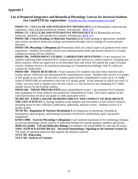# **Appendix I**

# **List of Required Integrative and Biomedical Physiology Courses for Doctoral Students (see LionPATH for registration:** [lionpath.psu.edu,](https://pennstateoffice365.sharepoint.com/sites/HuckGradOffice/Shared%20Documents/AppData/Local/Microsoft/Windows/INetcache/Content.Outlook/AppData/Local/Box/Box%20Edit/Documents/ELPtHA9nDkam7D2VBb0EQg==/lionpath.psu.edu) [lionpathsupport.psu.edu](https://pennstateoffice365.sharepoint.com/sites/HuckGradOffice/Shared%20Documents/AppData/Local/Microsoft/Windows/INetcache/Content.Outlook/AppData/Local/Box/Box%20Edit/Documents/ELPtHA9nDkam7D2VBb0EQg==/lionpathsupport.psu.edu)**)**

**PHSIO 571. CELLULAR AND INTEGRATIVE PHYSIOLOGY I** (3) Mammalian cardiovascular, respiratory, renal, and gastrointestinal systems. Prerequisite: [BIOL 472](http://www.psu.edu/bulletins/bluebook/courses/biol/472.htm) 

**PHSIO 572[.](http://www.psu.edu/bulletins/bluebook/courses/phsio/572.htm) CELLULAR AND INTEGRATIVE PHYSIOLOGY II** (3) Mammalian nervous, endocrine, metabolic, and reproductive systems. Prerequisite: [BIOL 472](https://bulletins.psu.edu/university-course-descriptions/undergraduate/biol/) 

**PHSIO 508. Critical Readings in Molecular Nutrition (1.5)** Understanding of approaches, methods and current concepts in molecular biology and nutrition through critical readings of current primary literature.

**PHSIO 590. Physiology Colloquium (2)** Presentation skills are critical aspects of graduate level career preparation. Students will acquire critical oral communications skills and present research in a formal colloquium setting (30 min seminar).

**PHSIO 596. INDEPENDENT STUDIES / LABORATORY ROTATIONS** (1-9 per semester) For students exploring either potential Ph.D. projects and faculty advisors or creative projects, including nonthesis research, which are supervised on an individual basis and which fall outside the scope of formal courses. Students receive a R (satisfactory/passing) or F (unsatisfactory/failing). Only R credits are counted for credit totals.

**PHSIO 600. THESIS RESEARCH** (1-9 per semester) For students who have been matched with a faculty advisor AND have not taken/passed the comprehensive exams. Students may receive A-F grades or R/F grades at any time. By the time a student passes his/her comprehensive exam, up to 12 credits worth of PHSIO 600 are permitted to have the A-F quality grade. In the semester in which you reach 12 credits, you may need to register twice for this course (i.e. one section for any remaining A-F credits, another section for the R grade credits).

**PHSIO 601. THESIS PREPARATION** (post comprehensive exam; 1 per semester) Each semester until graduation for those students who passed the comprehensive exam. This course appears on the transcript but does not have any grade or credit associated with it.

**MCIBS 591. ETHICS, RIGOR, REPRODUCIBILITY AND CONDUCT OF RESEARCH IN THE LIFE SCIENCES** (2, Spring) Students exam integrity and misconduct in life sciences research, including issues of data collection, publication, authorship, and peer review. Students receive A-F quality grades.

**NUTR 501. Regulation of Nutrient Metabolism I** (4) Integration of nutritional, biomedical, biochemical, physiological, and hormonal processes involved in carbohydrate, lipid, and protein metabolism.

**[KINES 590B.](http://bulletins.psu.edu/graduate/courses/K/KINES/590B/201213SP) Exercise Physiology Colloquium** (1 per semester/maximum of 4) Continuing colloquia in exercise physiology which consists of individual lectures by outside speakers, students and faculty. **BMB 251 (audit). Cell and Molecular Biology** (2) Students will attend BMB 251 and take all exams. **[VBSC 432/](http://bulletins.psu.edu/graduate/courses/V/VB%20SC/432/200708FA)B M B 432/MICRB 432. Advanced Immunology: Signaling in the Immune System (3)**  The study of signaling pathways that regulate the immune response.

**STAT 501. Regression.**

**STAT 502. Analysis of Variance**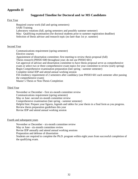# **Appendix II**

# **Suggested Timeline for Doctoral and /or MS Candidates**

#### First Year

Required course work (fall and spring semesters) SARI Training Laboratory rotations (fall, spring semesters and possibly summer semester) May: Qualifying examination (for doctoral students prior to summer registration deadline) Selection of thesis advisor and research topic (no later than 1st yr. summer)

#### Second Year

Communications requirement (spring semester) Elective courses Appointment of dissertation committee; first meeting to review thesis proposal (fall) Thesis research (PHSIO 600 throughout year; do not use PHSIO 601) Get approval of advisor and dissertation committee to have thesis proposal serve as comprehensive exam or select two or three comprehensive exam topics for your committee to review (early spring) Begin Comprehensive examination preparation (late spring - summer semester) Complete initial IDP and attend annual working session Fill residency requirement of 2 semesters after candidacy (use PHSIO 601 each semester after passing the comprehensive exam) Master's Thesis or Non-Thesis Completion

#### Third Year

November or December - first six-month committee review Communications requirement (spring semester) May or June -second six-month committee review Comprehensive examination (late spring - summer semester) Helpful hint: Prepare your figures, legends and tables for your thesis in a final form as you progress. Review thesis preparation guidelines this year Revise IDP and attend annual working session

#### Fourth and subsequent years

November or December - six-month committee review May or June - six-month committee review Revise IDP annually and attend annual working sessions Preparation and defense of dissertation Students are required to complete the Ph.D. program within eight years from successful completion of the qualifying exam.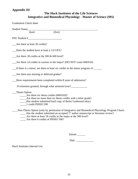# **Appendix III**

# **The Huck Institutes of the Life Sciences Integrative and Biomedical Physiology - Master of Science (MS)**

| <b>Graduation Check sheet</b>                                                                                                               |
|---------------------------------------------------------------------------------------------------------------------------------------------|
| Student Name                                                                                                                                |
| $\overline{\text{(first)}}$<br>$\text{(last)}$                                                                                              |
|                                                                                                                                             |
| Are there at least 30 credits?                                                                                                              |
| Does the student have at least a 3.0 GPA?                                                                                                   |
| Are there 18 credits at the 500 $\&$ 600 level?                                                                                             |
| Are there 14 credits in courses in the major? (DO NOT count $600/610$ )                                                                     |
| If there is a minor, are there at least six credits in the minor program of ______                                                          |
| Are there any missing or deferred grades?                                                                                                   |
| Have requirements been completed within 8 years of admission?                                                                               |
| If extension granted, through what semester/year?________________________________                                                           |
| Thesis Option                                                                                                                               |
| $\frac{\text{Area}}{\text{Area}}$ Are there six thesis credits (600/610)?<br>Are there no more than six thesis credits with a letter grade? |
| _____Has student submitted hard copy of thesis? (unbound okay)                                                                              |
| 1 credit PHSIO 590                                                                                                                          |
| Non-Thesis Option (only by permission of Integrative and Biomedical Physiology Program Chair)                                               |
| $\mu$ Has the student submitted an accepted 1 <sup>st</sup> author manuscript or literature review?                                         |
| Are there at least 18 credits in the major at the 500 level?                                                                                |

\_\_\_\_ Are there 6 credits of PHSIO 596?

Initials \_\_\_\_\_\_

Date \_\_\_\_\_\_\_\_\_\_\_\_\_

Huck Institutes Internal Use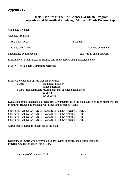# **Appendix IV**

| <b>Huck Institutes of The Life Sciences Graduate Program</b>         |  |  |
|----------------------------------------------------------------------|--|--|
| Integrative and Biomedical Physiology Master's Thesis Defense Report |  |  |
|                                                                      |  |  |

| Candidate's Name:                                                                                                                                                                                                                                |                                                                                                                             |
|--------------------------------------------------------------------------------------------------------------------------------------------------------------------------------------------------------------------------------------------------|-----------------------------------------------------------------------------------------------------------------------------|
| Graduate Program:                                                                                                                                                                                                                                | <u> 1989 - Johann Stoff, amerikansk politiker (d. 1989)</u>                                                                 |
| Thesis Exam Date:                                                                                                                                                                                                                                | $\frac{1}{\sqrt{1-\frac{1}{2}}\sqrt{1-\frac{1}{2}}\sqrt{1-\frac{1}{2}}\sqrt{1-\frac{1}{2}}\sqrt{1-\frac{1}{2}}}}$ Location: |
|                                                                                                                                                                                                                                                  |                                                                                                                             |
|                                                                                                                                                                                                                                                  |                                                                                                                             |
| Examination for the Master of Science degree, the results being indicated below.                                                                                                                                                                 |                                                                                                                             |
| Master's Thesis Exam Committee Members:                                                                                                                                                                                                          |                                                                                                                             |
| Exam Outcome: It is agreed that the candidate:<br>Passed <b>manufacturer</b> unanimous decision<br>____ divided decision<br>Failed The committee recommends that another examination:<br>$\rule{1em}{0.15mm}$ be given<br>_________ not be given |                                                                                                                             |
| Evaluation of the Candidate's general scholarly attainment on the examination by each member of the<br>committee (check one and sign your name in the space provided):                                                                           |                                                                                                                             |
| Superior $\Box$ Above Average $\Box$ Average $\Box$ Below Average $\Box$ Fail $\Box$<br>Superior □ Above Average □ Average □ Below Average □ Fail □ ____________________<br>Comments (required if student failed the exam):                      |                                                                                                                             |
|                                                                                                                                                                                                                                                  |                                                                                                                             |

Dissenting members who prefer to do so are invited to present their comments to the Program Chair(s) by letter or in person.

\_\_\_\_\_\_\_\_\_\_\_\_\_\_\_\_\_\_\_\_\_\_\_\_\_\_\_\_\_\_\_\_\_\_\_\_\_\_\_\_\_\_\_\_\_\_\_\_\_\_\_\_\_\_\_\_\_\_\_\_\_\_\_\_\_\_\_\_\_\_\_\_\_\_\_\_

\_\_\_\_\_\_\_\_\_\_\_\_\_\_\_\_\_\_\_\_\_\_\_\_\_\_\_\_\_\_\_\_\_\_\_\_\_\_\_\_\_\_\_\_\_ \_\_\_\_\_\_\_\_\_\_\_\_\_\_\_\_\_\_

Signature of Committee Chair Date

\_\_\_\_\_\_\_\_\_\_\_\_\_\_\_\_\_\_\_\_\_\_\_\_\_\_\_\_\_\_\_\_\_\_\_\_\_\_\_\_\_\_\_\_\_\_\_\_\_\_\_\_\_\_\_\_\_\_\_\_\_\_\_\_\_\_\_\_\_\_\_\_\_\_\_\_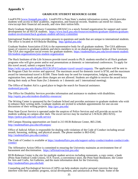# **Appendix V**

#### **GRADUATE STUDENT RESOURCE GUIDE**

LionPATH [\(www.lionpath.psu.edu\)](http://www.lionpath.psu.edu/). LionPATH is Penn State's student information system, which provides students with access to their academic, registration, and financial records. Students can enroll for classes, view/accept their financial aid awards, and view their tuition bills.

Huck Graduate Student Advisory Committee (HGSAC) is a newly formed organization for support and career development for all HUCK students. [https://www.huck.psu.edu/resources/students/graduate-students/graduate](https://www.huck.psu.edu/resources/students/graduate-students/graduate-student-involvement/huck-graduate-student-advisory-committee)[student-involvement/huck-graduate-student-advisory-committee](https://www.huck.psu.edu/resources/students/graduate-students/graduate-student-involvement/huck-graduate-student-advisory-committee)

International Student Services provides answers to questions and needs that are unique to international students. The office is located at 410 Boucke Building. <http://global.psu.edu/>

Graduate Student Association (GSA) is the representative body for all graduate students. The GSA addresses issues of concern to graduate students and elects members to sit on shared-governance bodies of the University. The GSA also organizes social events for graduate students. [https://studentaffairs.psu.edu/involvement-student](https://studentaffairs.psu.edu/involvement-student-life/student-organizations/join-student-organization)[life/student-organizations/join-student-organization](https://studentaffairs.psu.edu/involvement-student-life/student-organizations/join-student-organization)

The Huck Institutes of the Life Sciences provide travel awards to Ph.D. students enrolled in all Huck graduate programs who will give poster and/or oral presentations at domestic or international conferences. To apply for this travel award, submit a request form at

[https://wiki.vpr.psu.edu/display/HUCKGPA/Graduate+travel+award+requests.](https://wiki.vpr.psu.edu/display/HUCKGPA/Graduate+travel+award+requests) The application will be sent to the Program Chair for review and approval. The maximum award for domestic travel is \$750, and the maximum award for international travel is \$1500. These funds may be used for transportation, lodging, and meeting registration fees; meals and per diem charges are not allowed. Students are eligible to receive the award twice during their study at Penn State (for 2 domestic or 1 domestic and 1 international meeting).

The Office of Student Aid is a good place to begin the search for financial assistance. studentaid.psu.edu

The Office for Disability Services provides information and assistance to students with disabilities. <http://equity.psu.edu/student-disability-resources/>

The Writing Center is sponsored by the Graduate School and provides assistance to graduate students who wish to enhance their writing skills. Graduate students are invited to schedule appointments for one-on-one discussions of their writing projects.<http://gwc.psu.edu/>

Penn State Escort Service is operated under the auspices of Police Services and will provide an escort for students walking on campus after dark. The escort service may be reached at 5-WALK (865-9255). <https://police.psu.edu/safe-walk-service>

Off-Campus Housing opportunities are listed in 213 HUB-Robeson Center, 865-2346. <http://studentaffairs.psu.edu/offcampus/>

Office of Judicial Affairs is responsible for dealing with violations of the Code of Conduct including sexual assault, harassing, stalking, and physical assault. The phone number is 863-0342. <http://studentaffairs.psu.edu/conduct/>

The Code of Conduct is available at [https://studentaffairs.psu.edu/support-safety-conduct/student-conduct/code](https://studentaffairs.psu.edu/support-safety-conduct/student-conduct/code-conduct)[conduct](https://studentaffairs.psu.edu/support-safety-conduct/student-conduct/code-conduct)

The Affirmative Action Office is committed to ensuring the University maintains an environment free of harassment and discrimination. <https://affirmativeaction.psu.edu/>

HUB-Robeson Center is the site for multiple student services including restaurants, a copy center, a bank (Penn State Federal Credit Union), STA Travel, a convenience store, the Penn State Bookstore, the Center for Arts and Crafts, Art Galleries, and the main information desk for the University. <http://studentaffairs.psu.edu/hub/>

Counseling and Psychological Services (CAPS) can help students resolve personal concerns that may interfere with their academic progress, social development, and satisfaction at Penn State. Some of the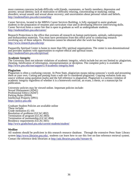more common concerns include difficulty with friends, roommates, or family members; depression and anxiety; sexual identity; lack of motivation or difficulty relaxing, concentrating or studying; eating disorders; sexual assault and sexual abuse recovery; and uncertainties about personal values and beliefs. <http://studentaffairs.psu.edu/counseling/>

Career Services, located in the MBNA Career Services Building, is fully equipped to assist graduate students in the preparation of resumes and curriculum vitae and in developing effective interviewing skills. Career Services hosts a career fair that is open to graduate as well as undergraduate students. <http://studentaffairs.psu.edu/career/>

Research Protections is the office that oversees all research on human participants, animals, radioisotopes and biohazardous materials. You must have permission from this office prior to conducting research involving any of these subjects. Permission cannot be obtained after the work has begun. <http://www.research.psu.edu/orp/>

Pasquerilla Spiritual Center is home to more than fifty spiritual organizations. The center is non-denominational and provides students with opportunities to explore ethical and spiritual issues. <http://studentaffairs.psu.edu/spiritual/>

#### **Academic Integrity**

The University does not tolerate violations of academic integrity, which include but are not limited to: plagiarism, cheating, falsification of information, misrepresentation or deception. The complete policy is available at: <http://www.psu.edu/oue/aappm/G-9-academic-integrity.html>

#### **Plagiarism**

Plagiarism is often a confusing concept. At Penn State, plagiarism means taking someone's words and presenting them as your own. Cutting and pasting from a web site is considered plagiarism. Copying verbatim from any source without using quotation marks and the full reference is plagiarism. Plagiarism is a serious violation of academic integrity regardless of whether it is a homework exercise, an exam, a thesis, or a manuscript for publication.

University policies may be viewed online. Important policies include: Sexual Harassment (AD41) Professional Ethics (AD47) Parking Rules (BS04) Intellectual Property (IP01) [https://policy.psu.edu](https://policy.psu.edu/)

Graduate Student Policies are available online These include: Grade mediation (G-10) Resolution of problems (GCAC-802) Termination of program (GCAC-803) Termination of assistantship (GCAC-804) Residency requirements (GCAC-601) <http://www.gradschool.psu.edu/current-students/student/>

#### **Medline**

All students should be proficient in this research resource database. Through the extensive Penn State Library system [http://www.libraries.psu.edu/,](http://www.libraries.psu.edu/) students can learn how to use this free on-line reference retrieval system. Contact the reference desk librarians at [http://ask.libraries.psu.edu/?stream=8.](http://ask.libraries.psu.edu/?stream=8)